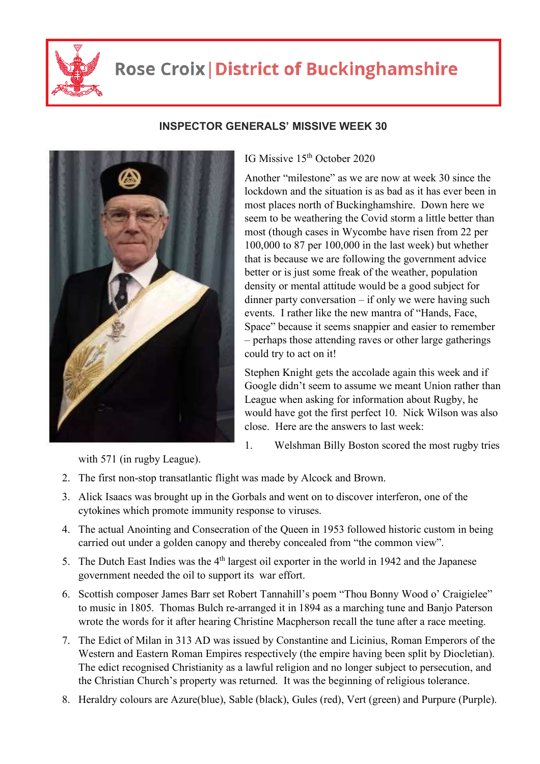

## **Rose Croix | District of Buckinghamshire**



**INSPECTOR GENERALS' MISSIVE WEEK 30** 

IG Missive 15<sup>th</sup> October 2020

Another "milestone" as we are now at week 30 since the lockdown and the situation is as bad as it has ever been in most places north of Buckinghamshire. Down here we seem to be weathering the Covid storm a little better than most (though cases in Wycombe have risen from 22 per 100,000 to 87 per 100,000 in the last week) but whether that is because we are following the government advice better or is just some freak of the weather, population density or mental attitude would be a good subject for dinner party conversation – if only we were having such events. I rather like the new mantra of "Hands, Face, Space" because it seems snappier and easier to remember – perhaps those attending raves or other large gatherings could try to act on it!

Stephen Knight gets the accolade again this week and if Google didn't seem to assume we meant Union rather than League when asking for information about Rugby, he would have got the first perfect 10. Nick Wilson was also close. Here are the answers to last week:

1. Welshman Billy Boston scored the most rugby tries

with 571 (in rugby League).

- 2. The first non-stop transatlantic flight was made by Alcock and Brown.
- 3. Alick Isaacs was brought up in the Gorbals and went on to discover interferon, one of the cytokines which promote immunity response to viruses.
- 4. The actual Anointing and Consecration of the Queen in 1953 followed historic custom in being carried out under a golden canopy and thereby concealed from "the common view".
- 5. The Dutch East Indies was the 4<sup>th</sup> largest oil exporter in the world in 1942 and the Japanese government needed the oil to support its war effort.
- 6. Scottish composer James Barr set Robert Tannahill's poem "Thou Bonny Wood o' Craigielee" to music in 1805. Thomas Bulch re-arranged it in 1894 as a marching tune and Banjo Paterson wrote the words for it after hearing Christine Macpherson recall the tune after a race meeting.
- 7. The Edict of Milan in 313 AD was issued by Constantine and Licinius, Roman Emperors of the Western and Eastern Roman Empires respectively (the empire having been split by Diocletian). The edict recognised Christianity as a lawful religion and no longer subject to persecution, and the Christian Church's property was returned. It was the beginning of religious tolerance.
- 8. Heraldry colours are Azure(blue), Sable (black), Gules (red), Vert (green) and Purpure (Purple).